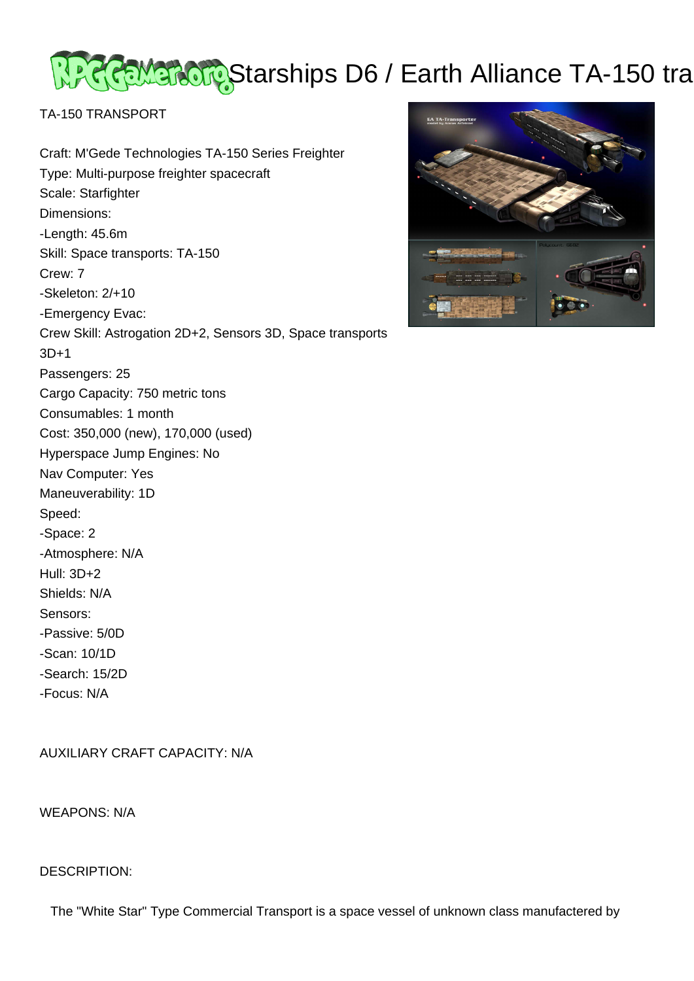# <u>२२२ हेल्लाका पु</u>रु Starships D6 / Earth Alliance TA-150 tra

TA-150 TRANSPORT

Craft: M'Gede Technologies TA-150 Series Freighter Type: Multi-purpose freighter spacecraft Scale: Starfighter Dimensions: -Length: 45.6m Skill: Space transports: TA-150 Crew: 7 -Skeleton: 2/+10 -Emergency Evac: Crew Skill: Astrogation 2D+2, Sensors 3D, Space transports 3D+1 Passengers: 25 Cargo Capacity: 750 metric tons Consumables: 1 month Cost: 350,000 (new), 170,000 (used) Hyperspace Jump Engines: No Nav Computer: Yes Maneuverability: 1D Speed: -Space: 2 -Atmosphere: N/A Hull: 3D+2 Shields: N/A Sensors: -Passive: 5/0D -Scan: 10/1D -Search: 15/2D -Focus: N/A

AUXILIARY CRAFT CAPACITY: N/A

WEAPONS: N/A

# DESCRIPTION:



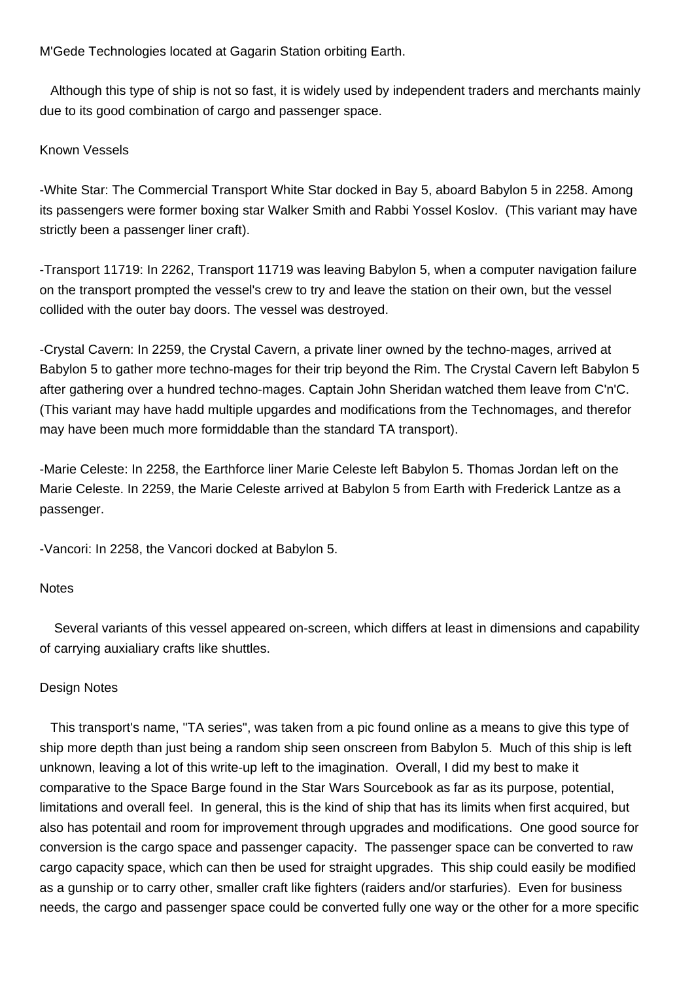M'Gede Technologies located at Gagarin Station orbiting Earth.

 Although this type of ship is not so fast, it is widely used by independent traders and merchants mainly due to its good combination of cargo and passenger space.

## Known Vessels

-White Star: The Commercial Transport White Star docked in Bay 5, aboard Babylon 5 in 2258. Among its passengers were former boxing star Walker Smith and Rabbi Yossel Koslov. (This variant may have strictly been a passenger liner craft).

-Transport 11719: In 2262, Transport 11719 was leaving Babylon 5, when a computer navigation failure on the transport prompted the vessel's crew to try and leave the station on their own, but the vessel collided with the outer bay doors. The vessel was destroyed.

-Crystal Cavern: In 2259, the Crystal Cavern, a private liner owned by the techno-mages, arrived at Babylon 5 to gather more techno-mages for their trip beyond the Rim. The Crystal Cavern left Babylon 5 after gathering over a hundred techno-mages. Captain John Sheridan watched them leave from C'n'C. (This variant may have hadd multiple upgardes and modifications from the Technomages, and therefor may have been much more formiddable than the standard TA transport).

-Marie Celeste: In 2258, the Earthforce liner Marie Celeste left Babylon 5. Thomas Jordan left on the Marie Celeste. In 2259, the Marie Celeste arrived at Babylon 5 from Earth with Frederick Lantze as a passenger.

-Vancori: In 2258, the Vancori docked at Babylon 5.

### **Notes**

 Several variants of this vessel appeared on-screen, which differs at least in dimensions and capability of carrying auxialiary crafts like shuttles.

### Design Notes

 This transport's name, "TA series", was taken from a pic found online as a means to give this type of ship more depth than just being a random ship seen onscreen from Babylon 5. Much of this ship is left unknown, leaving a lot of this write-up left to the imagination. Overall, I did my best to make it comparative to the Space Barge found in the Star Wars Sourcebook as far as its purpose, potential, limitations and overall feel. In general, this is the kind of ship that has its limits when first acquired, but also has potentail and room for improvement through upgrades and modifications. One good source for conversion is the cargo space and passenger capacity. The passenger space can be converted to raw cargo capacity space, which can then be used for straight upgrades. This ship could easily be modified as a gunship or to carry other, smaller craft like fighters (raiders and/or starfuries). Even for business needs, the cargo and passenger space could be converted fully one way or the other for a more specific